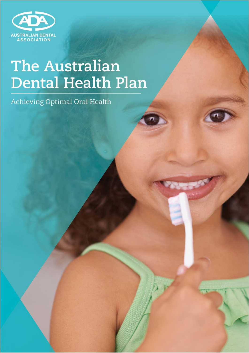

# **The Australian Dental Health Plan**

Achieving Optimal Oral Health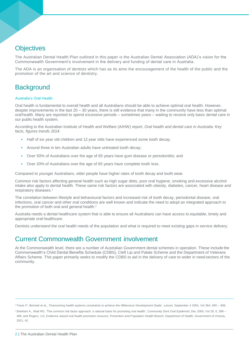## **Objectives**

The Australian Dental Health Plan outlined in this paper is the Australian Dental Association (ADA)'s vision for the Commonwealth Government's involvement in the delivery and funding of dental care in Australia.

The ADA is an organisation of dentists which has as its aims the encouragement of the health of the public and the promotion of the art and science of dentistry.

## **Background**

#### Australia's Oral Health

Oral health is fundamental to overall health and all Australians should be able to achieve optimal oral health. However, despite improvements in the last 20 – 30 years, there is still evidence that many in the community have less than optimal oralhealth. Many are reported to spend excessive periods – sometimes years – waiting to receive only basic dental care in our public health system.

According to the Australian Institute of Health and Welfare (AIHW) report, *Oral health and dental care in Australia: Key facts, figures trends 2014:*

- Half of six year old children and 12 year olds have experienced some tooth decay;
- Around three in ten Australian adults have untreated tooth decay;
- Over 50% of Australians over the age of 65 years have gum disease or periodontitis; and
- Over 20% of Australians over the age of 65 years have complete tooth loss.

Compared to younger Australians, older people have higher rates of tooth decay and tooth wear.

Common risk factors affecting general health such as high sugar diets, poor oral hygiene, smoking and excessive alcohol intake also apply to dental health. These same risk factors are associated with obesity, diabetes, cancer, heart disease and respiratory diseases.<sup>1</sup>

The correlation between lifestyle and behavioural factors and increased risk of tooth decay, periodontal disease, oral infections, oral cancer and other oral conditions are well known and indicate the need to adopt an integrated approach to the promotion of both oral and general health.<sup>2</sup>

Australia needs a dental healthcare system that is able to ensure all Australians can have access to equitable, timely and appropriate oral healthcare.

Dentists understand the oral health needs of the population and what is required to meet existing gaps in service delivery.

## Current Commonwealth Government involvement

At the Commonwealth level, there are a number of Australian Government dental schemes in operation. These include the Commonwealth's Child Dental Benefits Schedule (CDBS), Cleft Lip and Palate Scheme and the Department of Veterans Affairs Scheme. This paper primarily seeks to modify the CDBS to aid in the delivery of care to wider in need sectors of the community.

<sup>1</sup> Travis P., Bennett et al., 'Overcoming health-systems constraints to achieve the Millennium Development Goals', *Lancet*, September 4 2004, Vol 364, 900 – 906.

<sup>2</sup>Sheiham A., Watt RG, 'The common risk factor approach: a rational basis for promoting oral health', *Community Dent Oral Epidemiol*, Dec 2000, Vol 28, 6, 399 – 406; and Rogers, J.G, *Evidence–based oral health promotion resource,* Prevention and Population Health Branch, Department of Health, Government of Victoria, 2011, 42.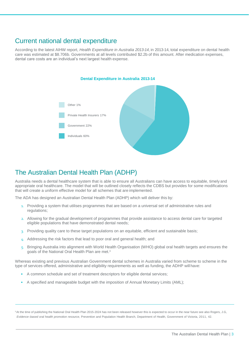# Current national dental expenditure

According to the latest AIHW report, *Health Expenditure in Australia 2013-14*, in 2013-14, total expenditure on dental health care was estimated at \$8.706b. Governments at all levels contributed \$2.2b of this amount. After medication expenses, dental care costs are an individual's next largest health expense.



## The Australian Dental Health Plan (ADHP)

Australia needs a dental healthcare system that is able to ensure all Australians can have access to equitable, timely and appropriate oral healthcare. The model that will be outlined closely reflects the CDBS but provides for some modifications that will create a uniform effective model for all schemes that are implemented.

The ADA has designed an Australian Dental Health Plan (ADHP) which will deliver this by:

- 1. Providing a system that utilises programmes that are based on a universal set of administrative rules and regulations;
- 2. Allowing for the gradual development of programmes that provide assistance to access dental care for targeted eligible populations that have demonstrated dental needs;
- 3. Providing quality care to these target populations on an equitable, efficient and sustainable basis;
- 4. Addressing the risk factors that lead to poor oral and general health; and
- 5. Bringing Australia into alignment with World Health Organisation (WHO) global oral health targets and ensures the goals of the National Oral Health Plan are met.<sup>3</sup>

Whereas existing and previous Australian Government dental schemes in Australia varied from scheme to scheme in the type of services offered, administrative and eligibility requirements as well as funding, the ADHP will have:

- A common schedule and set of treatment descriptors for eligible dental services;
- A specified and manageable budget with the imposition of Annual Monetary Limits (AML);

<sup>3</sup>At the time of publishing the National Oral Health Plan 2015-2024 has not been released however this is expected to occur in the near future see also Rogers, J.G. *Evidence–based oral health promotion resource,* Prevention and Population Health Branch, Department of Health, Government of Victoria, 2011, 42.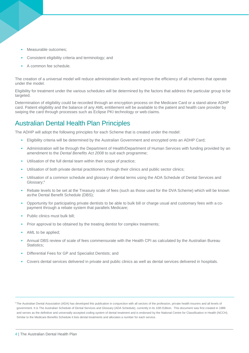- Measurable outcomes:
- Consistent eligibility criteria and terminology; and
- A common fee schedule.

The creation of a universal model will reduce administration levels and improve the efficiency of all schemes that operate under the model.

Eligibility for treatment under the various schedules will be determined by the factors that address the particular group to be targeted.

Determination of eligibility could be recorded through an encryption process on the Medicare Card or a stand-alone ADHP card. Patient eligibility and the balance of any AML entitlement will be available to the patient and health care provider by swiping the card through processes such as Eclipse PKI technology or web claims.

# Australian Dental Health Plan Principles

The ADHP will adopt the following principles for each Scheme that is created under the model:

- Eligibility criteria will be determined by the Australian Government and encrypted onto an ADHP Card;
- Administration will be through the Department of Health/Department of Human Services with funding provided by an amendment to the *Dental Benefits Act 2008* to suit each programme;
- Utilisation of the full dental team within their scope of practice;
- Utilisation of both private dental practitioners through their clinics and public sector clinics;
- Utilisation of a common schedule and glossary of dental terms using the ADA Schedule of Dental Services and Glossary;<sup>4</sup>
- Rebate levels to be set at the Treasury scale of fees (such as those used for the DVA Scheme) which will be known as the Dental Benefit Schedule (DBS);
- Opportunity for participating private dentists to be able to bulk bill or charge usual and customary fees with a copayment through a rebate system that parallels Medicare;
- Public clinics must bulk bill:
- Prior approval to be obtained by the treating dentist for complex treatments;
- AML to be applied;
- Annual DBS review of scale of fees commensurate with the Health CPI as calculated by the Australian Bureau Statistics:
- Differential Fees for GP and Specialist Dentists; and
- Covers dental services delivered in private and public clinics as well as dental services delivered in hospitals.

<sup>4</sup>The Australian Dental Association (ADA) has developed this publication in conjunction with all sectors of the profession, private health insurers and all levels of government. It is The Australian Schedule of Dental Services and Glossary (ADA Schedule), currently in its 10th Edition. This document was first created in 1986 and serves as the definitive and universally accepted coding system of dental treatment and is endorsed by the National Centre for Classification in Health (NCCH). Similar to the Medicare Benefits Schedule it lists dental treatments and allocates a number for each service.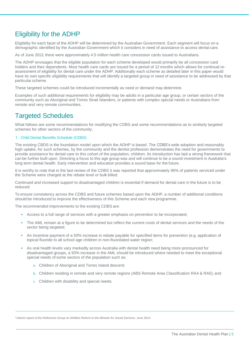# Eligibility for the ADHP

Eligibility for each facet of the ADHP will be determined by the Australian Government. Each segment will focus on a demographic identified by the Australian Government which it considers in need of assistance to access dental care.

As of June 2013, there were approximately 4.5 million health care concession cards issued to Australians.

The ADHP envisages that the eligible population for each scheme developed would primarily be all concession card holders and their dependents. Most health care cards are issued for a period of 12 months which allows for continual reassessment of eligibility for dental care under the ADHP. Additionally each scheme as detailed later in this paper would have its own specific eligibility requirements that will identify a targeted group in need of assistance to be addressed by that particular scheme.

These targeted schemes could be introduced incrementally as need or demand may determine.

Examples of such additional requirements for eligibility may be adults in a particular age group, or certain sectors of the community such as Aboriginal and Torres Strait Islanders, or patients with complex special needs or Australians from remote and very remote communities.

## Targeted Schedules

What follows are some recommendations for modifying the CDBS and some recommendations as to similarly targeted schemes for other sectors of the community.

#### 1 - Child Dental Benefits Schedule (CDBS)

The existing CBDS is the foundation model upon which the ADHP is based. The CDBS's wide adoption and reasonably high uptake, for such schemes, by the community and the dentist profession demonstrates the need for governments to provide assistance for dental care to this cohort of the population, children. Its introduction has laid a strong framework that can be further built upon. Directing a focus to this age group was and will continue to be a sound investment in Australia's long term dental health. Early intervention and education provides a sound base for the future.

It is worthy to note that in the last review of the CDBS it was reported that approximately 96% of patients serviced under the Scheme were charged at the rebate level or bulk billed.

Continued and increased support to disadvantaged children is essential if demand for dental care in the future is to be reduced.

To ensure consistency across the CDBS and future schemes based upon the ADHP, a number of additional conditions should be introduced to improve the effectiveness of this Scheme and each new programme.

The recommended improvements to the existing CDBS are:

- Access to a full range of services with a greater emphasis on prevention to be incorporated;
- The AML remain at a figure to be determined but reflect the current costs of dental services and the needs of the sector being targeted;
- An incentive payment of a 50% increase in rebate payable for specified items for prevention (e.g. application of topical fluoride to all school age children in non-fluoridated water region;
- As oral health levels vary markedly across Australia with dental health need being more pronounced for disadvantaged groups, a 50% increase in the AML should be introduced where needed to meet the exceptional special needs of some sectors of the population such as:
	- a. Children of Aboriginal and Torres Island descent;
	- b. Children residing in remote and very remote regions (ABS Remote Area Classification RA4 & RA5); and
	- c. Children with disability and special needs.

5 *Interim report of the Reference Group on Welfare Reform to the Minister for Social Services*, June 2014.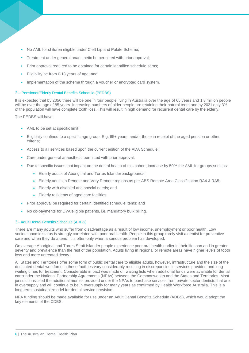- No AML for children eligible under Cleft Lip and Palate Scheme;
- Treatment under general anaesthetic be permitted with prior approval;
- Prior approval required to be obtained for certain identified schedule items;
- Eligibility be from 0-18 years of age; and
- Implementation of the scheme through a voucher or encrypted card system.

#### 2 – Pensioner/Elderly Dental Benefits Schedule (PEDBS)

It is expected that by 2056 there will be one in four people living in Australia over the age of 65 years and 1.8 million people will be over the age of 85 years. Increasing numbers of older people are retaining their natural teeth and by 2021 only 3% of the population will have complete tooth loss. This will result in high demand for recurrent dental care by the elderly.

The PEDBS will have:

- AML to be set at specific limit;
- Eligibility confined to a specific age group. E.g. 65+ years, and/or those in receipt of the aged pension or other criteria;
- Access to all services based upon the current edition of the ADA Schedule;
- Care under general anaesthetic permitted with prior approval;
- Due to specific issues that impact on the dental health of this cohort, increase by 50% the AML for groups such as:
	- » Elderly adults of Aboriginal and Torres Islanderbackgrounds;
	- » Elderly adults in Remote and Very Remote regions as per ABS Remote Area Classification RA4 & RA5;
	- » Elderly with disabled and special needs; and
	- » Elderly residents of aged care facilities.
- Prior approval be required for certain identified schedule items; and
- No co-payments for DVA eligible patients, i.e. mandatory bulk billing.

#### 3 - Adult Dental Benefits Schedule (ADBS)

There are many adults who suffer from disadvantage as a result of low income, unemployment or poor health. Low socioeconomic status is strongly correlated with poor oral health. People in this group rarely visit a dentist for preventive care and when they do attend, it is often only when a serious problem has developed.

On average Aboriginal and Torres Strait Islander people experience poor oral health earlier in their lifespan and in greater severity and prevalence than the rest of the population. Adults living in regional or remote areas have higher levels of tooth loss and more untreated decay.

All States and Territories offer some form of public dental care to eligible adults, however, infrastructure and the size of the dedicated dental workforce in these facilities vary considerably resulting in discrepancies in services provided and long waiting times for treatment. Considerable impact was made on waiting lists when additional funds were available for dental careunder the National Partnership Agreements (NPAs) between the Commonwealth and the States and Territories. Most jurisdictions used the additional monies provided under the NPAs to purchase services from private sector dentists that are in oversupply and will continue to be in oversupply for many years as confirmed by Health Workforce Australia. This is a long term sustainablemodel for dental service provision.

NPA funding should be made available for use under an Adult Dental Benefits Schedule (ADBS), which would adopt the key elements of the CDBS.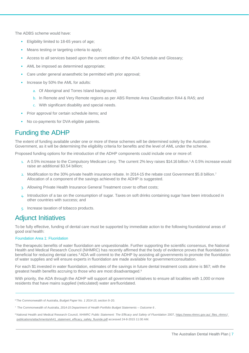The ADBS scheme would have:

- Eligibility limited to 18-65 years of age;
- Means testing or targeting criteria to apply;
- Access to all services based upon the current edition of the ADA Schedule and Glossary;
- AML be imposed as determined appropriate;
- Care under general anaesthetic be permitted with prior approval;
- Increase by 50% the AML for adults:
	- a. Of Aboriginal and Torres Island background;
	- b. In Remote and Very Remote regions as per ABS Remote Area Classification RA4 & RA5; and
	- c. With significant disability and special needs.
- Prior approval for certain schedule items; and
- No co-payments for DVA eligible patients.

## Funding the ADHP

The extent of funding available under one or more of these schemes will be determined solely by the Australian Government, as it will be determining the eligibility criteria for benefits and the level of AML under the scheme.

Proposed funding options for the introduction of the ADHP components could include one or more of:

- 1. A 0.5% increase to the Compulsory Medicare Levy. The current 2% levy raises \$14.16 billion.<sup>6</sup> A 0.5% increase would raise an additional \$3.54 billion;
- 2. Modification to the 30% private health insurance rebate. In 2014-15 the rebate cost Government \$5.8 billion.<sup>7</sup> Allocation of a component of the savings achieved to the ADHP is suggested.
- 3. Allowing Private Health Insurance General Treatment cover to offset costs;
- 4. Introduction of a tax on the consumption of sugar. Taxes on soft drinks containing sugar have been introduced in other countries with success; and
- 5. Increase taxation of tobacco products.

### Adjunct Initiatives

To be fully effective, funding of dental care must be supported by immediate action to the following foundational areas of good oral health:

#### Foundation Area 1: Fluoridation

The therapeutic benefits of water fluoridation are unquestionable. Further supporting the scientific consensus, the National Health and Medical Research Council (NHMRC) has recently affirmed that the body of evidence proves that fluoridation is beneficial for reducing dental caries.<sup>8</sup> ADA will commit to the ADHP by assisting all governments to promote the fluoridation of water supplies and will ensure experts in fluoridation are made available for government consultation.

For each \$1 invested in water fluoridation, estimates of the savings in future dental treatment costs alone is \$67; with the greatest health benefits accruing to those who are most disadvantaged.<sup>9</sup>

With priority, the ADA through the ADHP will support all government initiatives to ensure all localities with 1,000 or more residents that have mains supplied (reticulated) water arefluoridated.

<sup>6</sup>The Commonwealth of Australia, *Budget Paper No. 1 2014-15*, section 9-20.

8 National Health and Medical Research Council, NHMRC Public Statement: The Efficacy and Safety of Fluoridation 2007, https:[//www.nhmrc.gov.au/\\_files\\_nhmrc/](http://www.nhmrc.gov.au/_files_nhmrc)\_ publications/attachments/eh41\_statement\_efficacy\_safety\_fluoride.pdf accessed 24-8-2015 11:00 AM.

<sup>7</sup>The Commonwealth of Australia, *2014-15 Department of Health Portfolio Budget Statements – Outcome 6* .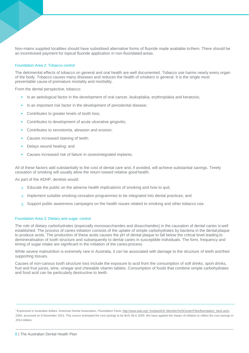Non-mains supplied localities should have subsidised alternative forms of fluoride made available to them. There should be an incentivised payment for topical fluoride application in non-fluoridated areas.

#### Foundation Area 2: Tobacco control

The detrimental effects of tobacco on general and oral health are well documented. Tobacco use harms nearly every organ of the body. Tobacco causes many diseases and reduces the health of smokers in general. It is the single most preventable cause of premature mortality and morbidity.

From the dental perspective, tobacco:

- Is an aetiological factor in the development of oral cancer, leukoplakia, erythroplakia and keratosis;
- Is an important risk factor in the development of periodontal disease;
- Contributes to greater levels of tooth loss;
- Contributes to development of acute ulcerative gingivitis;
- Contributes to xerostomia, abrasion and erosion;
- Causes increased staining of teeth;
- Delays wound healing; and
- Causes increased risk of failure in osseointegrated implants.

All of these factors add substantially to the cost of dental care and, if avoided, will achieve substantial savings. Timely cessation of smoking will usually allow the return toward relative good health.

As part of the ADHP, dentists would:

- 1. Educate the public on the adverse health implications of smoking and how to quit;
- 2. Implement suitable smoking cessation programmes to be integrated into dental practices; and
- 3. Support public awareness campaigns on the health issues related to smoking and other tobacco use.

#### Foundation Area 3: Dietary and sugar control

The role of dietary carbohydrates (especially monosaccharides and disaccharides) in the causation of dental caries is well established. The process of caries initiation consists of the uptake of simple carbohydrates by bacteria in the dental plaque to produce acids. The production of these acids causes the pH of dental plaque to fall below the critical level leading to demineralisation of tooth structure and subsequently to dental caries in susceptible individuals. The form, frequency and timing of sugar intake are significant in the initiation of the caries process.

While severe malnutrition is extremely rare in Australia, it can be associated with damage to the structure of teeth and their supporting tissues.

Causes of non-carious tooth structure loss include the exposure to acid from the consumption of soft drinks, sport drinks, fruit and fruit juices, wine, vinegar and chewable vitamin tablets. Consumption of foods that combine simple carbohydrates and food acid can be particularly destructive to teeth.

<sup>9</sup>Expressed in Australian dollars. American Dental Association, *Fluoridation Facts*[, http://www.ada.org/~/media/ADA](http://www.ada.org/~/media/ADA) /Member%20Center/FIles/fluoridation\_facts.ashx, 2005; accessed on 9 November 2015. This source estimated the cost savings to be \$US 38 in 2005. We have applied the impact of inflation to reflect the cost savings in 2014 dollars.